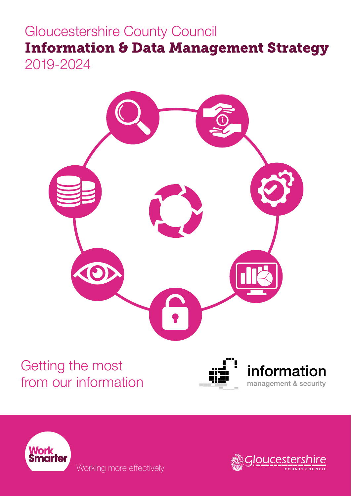# Gloucestershire County Council Information & Data Management Strategy 2019-2024



# Getting the most from our information







Working more effectively

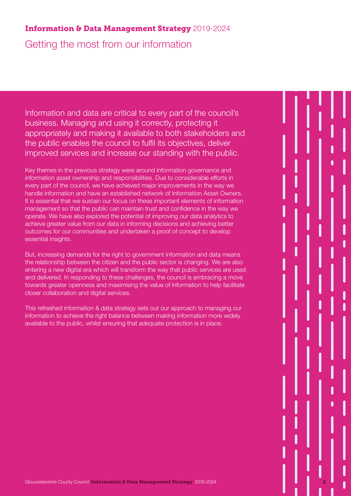#### Information & Data Management Strategy 2019-2024

Getting the most from our information

Information and data are critical to every part of the council's business. Managing and using it correctly, protecting it appropriately and making it available to both stakeholders and the public enables the council to fulfil its objectives, deliver improved services and increase our standing with the public.

Key themes in the previous strategy were around information governance and information asset ownership and responsibilities. Due to considerable efforts in every part of the council, we have achieved major improvements in the way we handle information and have an established network of Information Asset Owners. It is essential that we sustain our focus on these important elements of information management so that the public can maintain trust and confidence in the way we operate. We have also explored the potential of improving our data analytics to achieve greater value from our data in informing decisions and achieving better outcomes for our communities and undertaken a proof of concept to develop essential insights.

But, increasing demands for the right to government information and data means the relationship between the citizen and the public sector is changing. We are also entering a new digital era which will transform the way that public services are used and delivered. In responding to these challenges, the council is embracing a move towards greater openness and maximising the value of information to help facilitate closer collaboration and digital services.

This refreshed information & data strategy sets out our approach to managing our information to achieve the right balance between making information more widely available to the public, whilst ensuring that adequate protection is in place.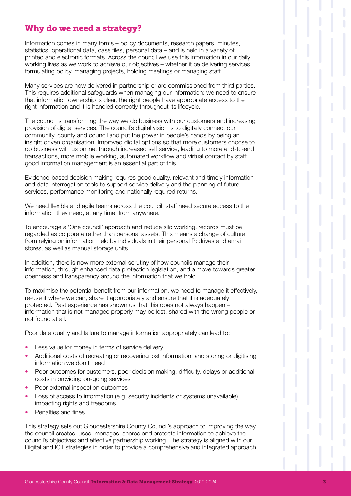## Why do we need a strategy?

Information comes in many forms – policy documents, research papers, minutes, statistics, operational data, case files, personal data – and is held in a variety of printed and electronic formats. Across the council we use this information in our daily working lives as we work to achieve our objectives – whether it be delivering services, formulating policy, managing projects, holding meetings or managing staff.

Many services are now delivered in partnership or are commissioned from third parties. This requires additional safeguards when managing our information: we need to ensure that information ownership is clear, the right people have appropriate access to the right information and it is handled correctly throughout its lifecycle.

The council is transforming the way we do business with our customers and increasing provision of digital services. The council's digital vision is to digitally connect our community, county and council and put the power in people's hands by being an insight driven organisation. Improved digital options so that more customers choose to do business with us online, through increased self service, leading to more end-to-end transactions, more mobile working, automated workflow and virtual contact by staff; good information management is an essential part of this.

Evidence-based decision making requires good quality, relevant and timely information and data interrogation tools to support service delivery and the planning of future services, performance monitoring and nationally required returns.

We need flexible and agile teams across the council; staff need secure access to the information they need, at any time, from anywhere.

To encourage a 'One council' approach and reduce silo working, records must be regarded as corporate rather than personal assets. This means a change of culture from relying on information held by individuals in their personal P: drives and email stores, as well as manual storage units.

In addition, there is now more external scrutiny of how councils manage their information, through enhanced data protection legislation, and a move towards greater openness and transparency around the information that we hold.

To maximise the potential benefit from our information, we need to manage it effectively, re-use it where we can, share it appropriately and ensure that it is adequately protected. Past experience has shown us that this does not always happen – information that is not managed properly may be lost, shared with the wrong people or not found at all.

Poor data quality and failure to manage information appropriately can lead to:

- Less value for money in terms of service delivery
- Additional costs of recreating or recovering lost information, and storing or digitising information we don't need
- Poor outcomes for customers, poor decision making, difficulty, delays or additional costs in providing on-going services
- Poor external inspection outcomes
- Loss of access to information (e.g. security incidents or systems unavailable) impacting rights and freedoms
- Penalties and fines.

This strategy sets out Gloucestershire County Council's approach to improving the way the council creates, uses, manages, shares and protects information to achieve the council's objectives and effective partnership working. The strategy is aligned with our Digital and ICT strategies in order to provide a comprehensive and integrated approach.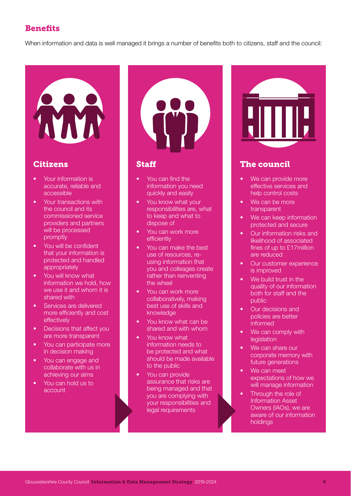# **Benefits**

When information and data is well managed it brings a number of benefits both to citizens, staff and the council:



#### **Citizens**

- Your information is accurate, reliable and accessible
- Your transactions with the council and its commissioned service providers and partners will be processed promptly
- You will be confident that your information is protected and handled appropriately
- You will know what information we hold, how we use it and whom it is shared with
- Services are delivered more efficiently and cost effectively
- Decisions that affect you are more transparent
- You can participate more in decision making
- You can engage and collaborate with us in achieving our aims
- You can hold us to account



#### **Staff**

- You can find the information you need quickly and easily
- You know what your responsibilities are, what to keep and what to dispose of
- You can work more efficiently
- You can make the best use of resources, reusing information that you and colleages create rather than reinventing the wheel
- You can work more collaboratively, making best use of skills and knowledge
- You know what can be shared and with whom
- You know what information needs to be protected and what should be made available to the public
- You can provide assurance that risks are being managed and that you are complying with your responsibilities and legal requirements



## The council

- We can provide more effective services and help control costs
- We can be more transparent
- We can keep information protected and secure
- Our information risks and likelihood of associated fines of up to £17million are reduced
- Our customer experience is improved
- We build trust in the quality of our information both for staff and the public
- Our decisions and policies are better informed
- We can comply with **legislation**
- We can share our corporate memory with future generations
- We can meet expectations of how we will manage information
- Through the role of Information Asset Owners (IAOs), we are aware of our information holdings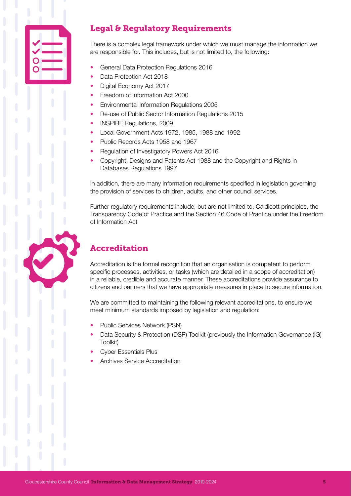| O<br>O | an an |
|--------|-------|
|        |       |

# Legal & Regulatory Requirements

There is a complex legal framework under which we must manage the information we are responsible for. This includes, but is not limited to, the following:

- General Data Protection Regulations 2016
- Data Protection Act 2018
- Digital Economy Act 2017
- Freedom of Information Act 2000
- Environmental Information Regulations 2005
- Re-use of Public Sector Information Regulations 2015
- INSPIRE Regulations, 2009
- Local Government Acts 1972, 1985, 1988 and 1992
- Public Records Acts 1958 and 1967
- Regulation of Investigatory Powers Act 2016
- Copyright, Designs and Patents Act 1988 and the Copyright and Rights in Databases Regulations 1997

In addition, there are many information requirements specified in legislation governing the provision of services to children, adults, and other council services.

Further regulatory requirements include, but are not limited to, Caldicott principles, the Transparency Code of Practice and the Section 46 Code of Practice under the Freedom of Information Act

# Accreditation

Accreditation is the formal recognition that an organisation is competent to perform specific processes, activities, or tasks (which are detailed in a scope of accreditation) in a reliable, credible and accurate manner. These accreditations provide assurance to citizens and partners that we have appropriate measures in place to secure information.

We are committed to maintaining the following relevant accreditations, to ensure we meet minimum standards imposed by legislation and regulation:

- Public Services Network (PSN)
- Data Security & Protection (DSP) Toolkit (previously the Information Governance (IG) Toolkit)
- Cyber Essentials Plus
- Archives Service Accreditation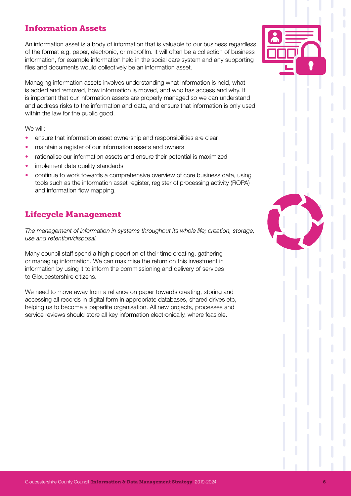# Information Assets

An information asset is a body of information that is valuable to our business regardless of the format e.g. paper, electronic, or microfilm. It will often be a collection of business information, for example information held in the social care system and any supporting files and documents would collectively be an information asset.

Managing information assets involves understanding what information is held, what is added and removed, how information is moved, and who has access and why. It is important that our information assets are properly managed so we can understand and address risks to the information and data, and ensure that information is only used within the law for the public good.

We will:

- ensure that information asset ownership and responsibilities are clear
- maintain a register of our information assets and owners
- rationalise our information assets and ensure their potential is maximized
- implement data quality standards
- continue to work towards a comprehensive overview of core business data, using tools such as the information asset register, register of processing activity (ROPA) and information flow mapping.

## Lifecycle Management

*The management of information in systems throughout its whole life; creation, storage, use and retention/disposal.*

Many council staff spend a high proportion of their time creating, gathering or managing information. We can maximise the return on this investment in information by using it to inform the commissioning and delivery of services to Gloucestershire citizens.

We need to move away from a reliance on paper towards creating, storing and accessing all records in digital form in appropriate databases, shared drives etc, helping us to become a paperlite organisation. All new projects, processes and service reviews should store all key information electronically, where feasible.

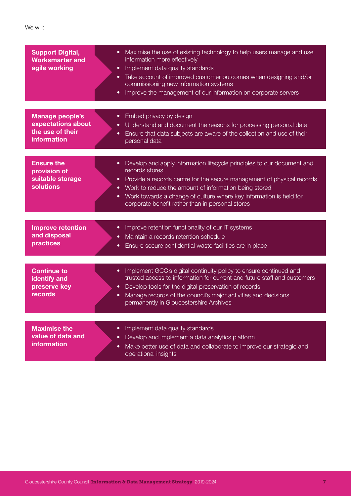| <b>Support Digital,</b><br><b>Worksmarter and</b><br>agile working                     | Maximise the use of existing technology to help users manage and use<br>$\bullet$<br>information more effectively<br>Implement data quality standards<br>$\bullet$<br>• Take account of improved customer outcomes when designing and/or<br>commissioning new information systems<br>Improve the management of our information on corporate servers<br>$\bullet$         |
|----------------------------------------------------------------------------------------|--------------------------------------------------------------------------------------------------------------------------------------------------------------------------------------------------------------------------------------------------------------------------------------------------------------------------------------------------------------------------|
| <b>Manage people's</b><br>expectations about<br>the use of their<br><b>information</b> | Embed privacy by design<br>$\bullet$<br>Understand and document the reasons for processing personal data<br>$\bullet$<br>Ensure that data subjects are aware of the collection and use of their<br>$\bullet$<br>personal data                                                                                                                                            |
| <b>Ensure the</b><br>provision of<br>suitable storage<br><b>solutions</b>              | Develop and apply information lifecycle principles to our document and<br>$\bullet$<br>records stores<br>• Provide a records centre for the secure management of physical records<br>• Work to reduce the amount of information being stored<br>• Work towards a change of culture where key information is held for<br>corporate benefit rather than in personal stores |
| <b>Improve retention</b><br>and disposal<br>practices                                  | Improve retention functionality of our IT systems<br>$\bullet$<br>Maintain a records retention schedule<br>$\bullet$<br>Ensure secure confidential waste facilities are in place<br>$\bullet$                                                                                                                                                                            |
| <b>Continue to</b><br>identify and<br>preserve key<br>records                          | Implement GCC's digital continuity policy to ensure continued and<br>$\bullet$<br>trusted access to information for current and future staff and customers<br>Develop tools for the digital preservation of records<br>$\bullet$<br>Manage records of the council's major activities and decisions<br>$\bullet$<br>permanently in Gloucestershire Archives               |
| <b>Maximise the</b><br>value of data and<br><b>information</b>                         | Implement data quality standards<br>$\bullet$<br>Develop and implement a data analytics platform<br>$\bullet$<br>Make better use of data and collaborate to improve our strategic and<br>$\bullet$<br>operational insights                                                                                                                                               |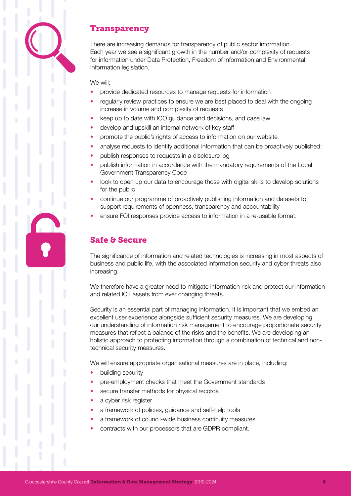

# **Transparency**

There are increasing demands for transparency of public sector information. Each year we see a significant growth in the number and/or complexity of requests for information under Data Protection, Freedom of Information and Environmental Information legislation.

We will:

- provide dedicated resources to manage requests for information
- regularly review practices to ensure we are best placed to deal with the ongoing increase in volume and complexity of requests
- keep up to date with ICO guidance and decisions, and case law
- develop and upskill an internal network of key staff
- promote the public's rights of access to information on our website
- analyse requests to identify additional information that can be proactively published;
- publish responses to requests in a disclosure log
- publish information in accordance with the mandatory requirements of the Local Government Transparency Code
- look to open up our data to encourage those with digital skills to develop solutions for the public
- continue our programme of proactively publishing information and datasets to support requirements of openness, transparency and accountability
- ensure FOI responses provide access to information in a re-usable format.

# Safe & Secure

The significance of information and related technologies is increasing in most aspects of business and public life, with the associated information security and cyber threats also increasing.

We therefore have a greater need to mitigate information risk and protect our information and related ICT assets from ever changing threats.

Security is an essential part of managing information. It is important that we embed an excellent user experience alongside sufficient security measures. We are developing our understanding of information risk management to encourage proportionate security measures that reflect a balance of the risks and the benefits. We are developing an holistic approach to protecting information through a combination of technical and nontechnical security measures.

We will ensure appropriate organisational measures are in place, including:

- building security
- pre-employment checks that meet the Government standards
- secure transfer methods for physical records
- a cyber risk register
- a framework of policies, guidance and self-help tools
- a framework of council-wide business continuity measures
- contracts with our processors that are GDPR compliant.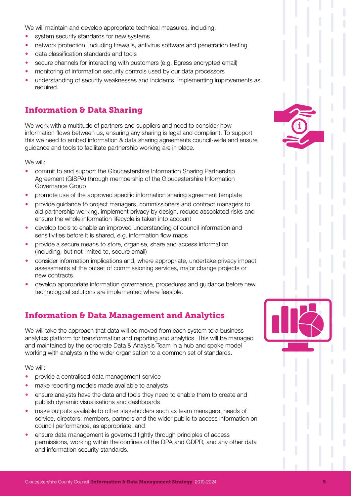We will maintain and develop appropriate technical measures, including:

- system security standards for new systems
- network protection, including firewalls, antivirus software and penetration testing
- data classification standards and tools
- secure channels for interacting with customers (e.g. Egress encrypted email)
- monitoring of information security controls used by our data processors
- understanding of security weaknesses and incidents, implementing improvements as required.

## Information & Data Sharing

We work with a multitude of partners and suppliers and need to consider how information flows between us, ensuring any sharing is legal and compliant. To support this we need to embed information & data sharing agreements council-wide and ensure guidance and tools to facilitate partnership working are in place.

We will:

- commit to and support the Gloucestershire Information Sharing Partnership Agreement (GISPA) through membership of the Gloucestershire Information Governance Group
- promote use of the approved specific information sharing agreement template
- provide guidance to project managers, commissioners and contract managers to aid partnership working, implement privacy by design, reduce associated risks and ensure the whole information lifecycle is taken into account
- develop tools to enable an improved understanding of council information and sensitivities before it is shared, e.g. information flow maps
- provide a secure means to store, organise, share and access information (including, but not limited to, secure email)
- consider information implications and, where appropriate, undertake privacy impact assessments at the outset of commissioning services, major change projects or new contracts
- develop appropriate information governance, procedures and guidance before new technological solutions are implemented where feasible.

## Information & Data Management and Analytics

We will take the approach that data will be moved from each system to a business analytics platform for transformation and reporting and analytics. This will be managed and maintained by the corporate Data & Analysis Team in a hub and spoke model working with analysts in the wider organisation to a common set of standards.

We will:

- provide a centralised data management service
- make reporting models made available to analysts
- ensure analysts have the data and tools they need to enable them to create and publish dynamic visualisations and dashboards
- make outputs available to other stakeholders such as team managers, heads of service, directors, members, partners and the wider public to access information on council performance, as appropriate; and
- ensure data management is governed tightly through principles of access permissions, working within the confines of the DPA and GDPR, and any other data and information security standards.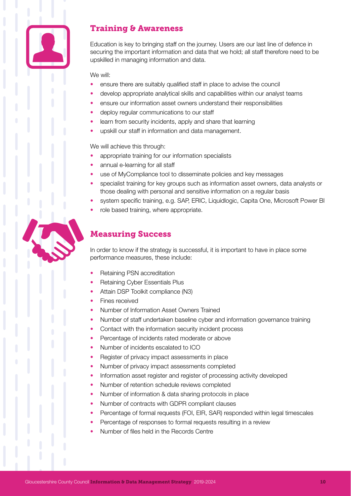

## Training & Awareness

Education is key to bringing staff on the journey. Users are our last line of defence in securing the important information and data that we hold; all staff therefore need to be upskilled in managing information and data.

We will:

- ensure there are suitably qualified staff in place to advise the council
- develop appropriate analytical skills and capabilities within our analyst teams
- ensure our information asset owners understand their responsibilities
- deploy regular communications to our staff
- learn from security incidents, apply and share that learning
- upskill our staff in information and data management.

We will achieve this through:

- appropriate training for our information specialists
- annual e-learning for all staff
- use of MyCompliance tool to disseminate policies and key messages
- specialist training for key groups such as information asset owners, data analysts or those dealing with personal and sensitive information on a regular basis
- system specific training, e.g. SAP, ERIC, Liquidlogic, Capita One, Microsoft Power BI
- role based training, where appropriate.



In order to know if the strategy is successful, it is important to have in place some performance measures, these include:

- Retaining PSN accreditation
- Retaining Cyber Essentials Plus
- Attain DSP Toolkit compliance (N3)
- Fines received
- Number of Information Asset Owners Trained
- Number of staff undertaken baseline cyber and information governance training
- Contact with the information security incident process
- Percentage of incidents rated moderate or above
- Number of incidents escalated to ICO
- Register of privacy impact assessments in place
- Number of privacy impact assessments completed
- Information asset register and register of processing activity developed
- Number of retention schedule reviews completed
- Number of information & data sharing protocols in place
- Number of contracts with GDPR compliant clauses
- Percentage of formal requests (FOI, EIR, SAR) responded within legal timescales
- Percentage of responses to formal requests resulting in a review
- Number of files held in the Records Centre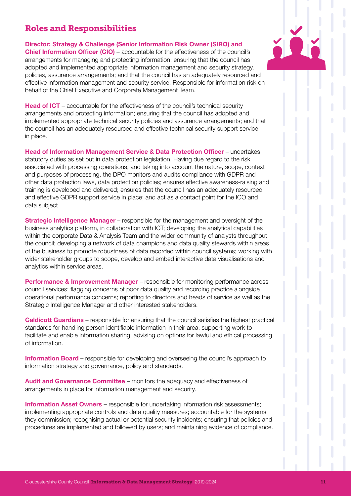# Roles and Responsibilities

**Director: Strategy & Challenge (Senior Information Risk Owner (SIRO) and** 

**Chief Information Officer (CIO)** – accountable for the effectiveness of the council's arrangements for managing and protecting information; ensuring that the council has adopted and implemented appropriate information management and security strategy, policies, assurance arrangements; and that the council has an adequately resourced and effective information management and security service. Responsible for information risk on behalf of the Chief Executive and Corporate Management Team.

**Head of ICT** – accountable for the effectiveness of the council's technical security arrangements and protecting information; ensuring that the council has adopted and implemented appropriate technical security policies and assurance arrangements; and that the council has an adequately resourced and effective technical security support service in place.

**Head of Information Management Service & Data Protection Officer – undertakes** statutory duties as set out in data protection legislation. Having due regard to the risk associated with processing operations, and taking into account the nature, scope, context and purposes of processing, the DPO monitors and audits compliance with GDPR and other data protection laws, data protection policies; ensures effective awareness-raising and training is developed and delivered; ensures that the council has an adequately resourced and effective GDPR support service in place; and act as a contact point for the ICO and data subject.

**Strategic Intelligence Manager** – responsible for the management and oversight of the business analytics platform, in collaboration with ICT; developing the analytical capabilities within the corporate Data & Analysis Team and the wider community of analysts throughout the council; developing a network of data champions and data quality stewards within areas of the business to promote robustness of data recorded within council systems; working with wider stakeholder groups to scope, develop and embed interactive data visualisations and analytics within service areas.

**Performance & Improvement Manager** – responsible for monitoring performance across council services; flagging concerns of poor data quality and recording practice alongside operational performance concerns; reporting to directors and heads of service as well as the Strategic Intelligence Manager and other interested stakeholders.

**Caldicott Guardians** – responsible for ensuring that the council satisfies the highest practical standards for handling person identifiable information in their area, supporting work to facilitate and enable information sharing, advising on options for lawful and ethical processing of information.

**Information Board** – responsible for developing and overseeing the council's approach to information strategy and governance, policy and standards.

**Audit and Governance Committee** – monitors the adequacy and effectiveness of arrangements in place for information management and security.

**Information Asset Owners** – responsible for undertaking information risk assessments; implementing appropriate controls and data quality measures; accountable for the systems they commission; recognising actual or potential security incidents; ensuring that policies and procedures are implemented and followed by users; and maintaining evidence of compliance.

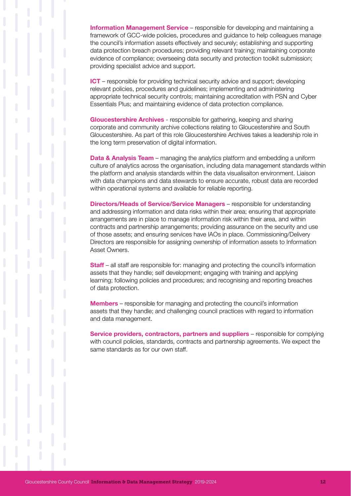**Information Management Service** – responsible for developing and maintaining a framework of GCC-wide policies, procedures and guidance to help colleagues manage the council's information assets effectively and securely; establishing and supporting data protection breach procedures; providing relevant training; maintaining corporate evidence of compliance; overseeing data security and protection toolkit submission; providing specialist advice and support.

**ICT** – responsible for providing technical security advice and support; developing relevant policies, procedures and guidelines; implementing and administering appropriate technical security controls; maintaining accreditation with PSN and Cyber Essentials Plus; and maintaining evidence of data protection compliance.

**Gloucestershire Archives** - responsible for gathering, keeping and sharing corporate and community archive collections relating to Gloucestershire and South Gloucestershire. As part of this role Gloucestershire Archives takes a leadership role in the long term preservation of digital information.

**Data & Analysis Team** – managing the analytics platform and embedding a uniform culture of analytics across the organisation, including data management standards within the platform and analysis standards within the data visualisaiton environment. Liaison with data champions and data stewards to ensure accurate, robust data are recorded within operational systems and available for reliable reporting.

**Directors/Heads of Service/Service Managers** – responsible for understanding and addressing information and data risks within their area; ensuring that appropriate arrangements are in place to manage information risk within their area, and within contracts and partnership arrangements; providing assurance on the security and use of those assets; and ensuring services have IAOs in place. Commissioning/Delivery Directors are responsible for assigning ownership of information assets to Information Asset Owners.

**Staff** – all staff are responsible for: managing and protecting the council's information assets that they handle; self development; engaging with training and applying learning; following policies and procedures; and recognising and reporting breaches of data protection.

**Members** – responsible for managing and protecting the council's information assets that they handle; and challenging council practices with regard to information and data management.

**Service providers, contractors, partners and suppliers** – responsible for complying with council policies, standards, contracts and partnership agreements. We expect the same standards as for our own staff.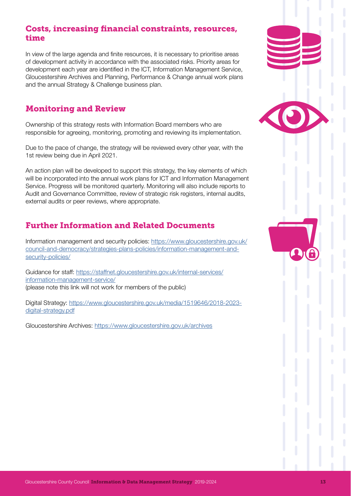#### Costs, increasing financial constraints, resources, time

In view of the large agenda and finite resources, it is necessary to prioritise areas of development activity in accordance with the associated risks. Priority areas for development each year are identified in the ICT, Information Management Service, Gloucestershire Archives and Planning, Performance & Change annual work plans and the annual Strategy & Challenge business plan.

# Monitoring and Review

Ownership of this strategy rests with Information Board members who are responsible for agreeing, monitoring, promoting and reviewing its implementation.

Due to the pace of change, the strategy will be reviewed every other year, with the 1st review being due in April 2021.

An action plan will be developed to support this strategy, the key elements of which will be incorporated into the annual work plans for ICT and Information Management Service. Progress will be monitored quarterly. Monitoring will also include reports to Audit and Governance Committee, review of strategic risk registers, internal audits, external audits or peer reviews, where appropriate.

# Further Information and Related Documents

Information management and security policies: [https://www.gloucestershire.gov.uk/](https://www.gloucestershire.gov.uk/council-and-democracy/strategies-plans-policies/information-management-and-security-policies/) [council-and-democracy/strategies-plans-policies/information-management-and](https://www.gloucestershire.gov.uk/council-and-democracy/strategies-plans-policies/information-management-and-security-policies/)[security-policies/](https://www.gloucestershire.gov.uk/council-and-democracy/strategies-plans-policies/information-management-and-security-policies/)

Guidance for staff: [https://staffnet.gloucestershire.gov.uk/internal-services/](https://staffnet.gloucestershire.gov.uk/internal-services/information-management-service/) [information-management-service/](https://staffnet.gloucestershire.gov.uk/internal-services/information-management-service/)  (please note this link will not work for members of the public)

Digital Strategy: [https://www.gloucestershire.gov.uk/media/1519646/2018-2023](https://www.gloucestershire.gov.uk/media/1519646/2018-2023-digital-strategy.pdf) [digital-strategy.pdf](https://www.gloucestershire.gov.uk/media/1519646/2018-2023-digital-strategy.pdf)

Gloucestershire Archives: <https://www.gloucestershire.gov.uk/archives>